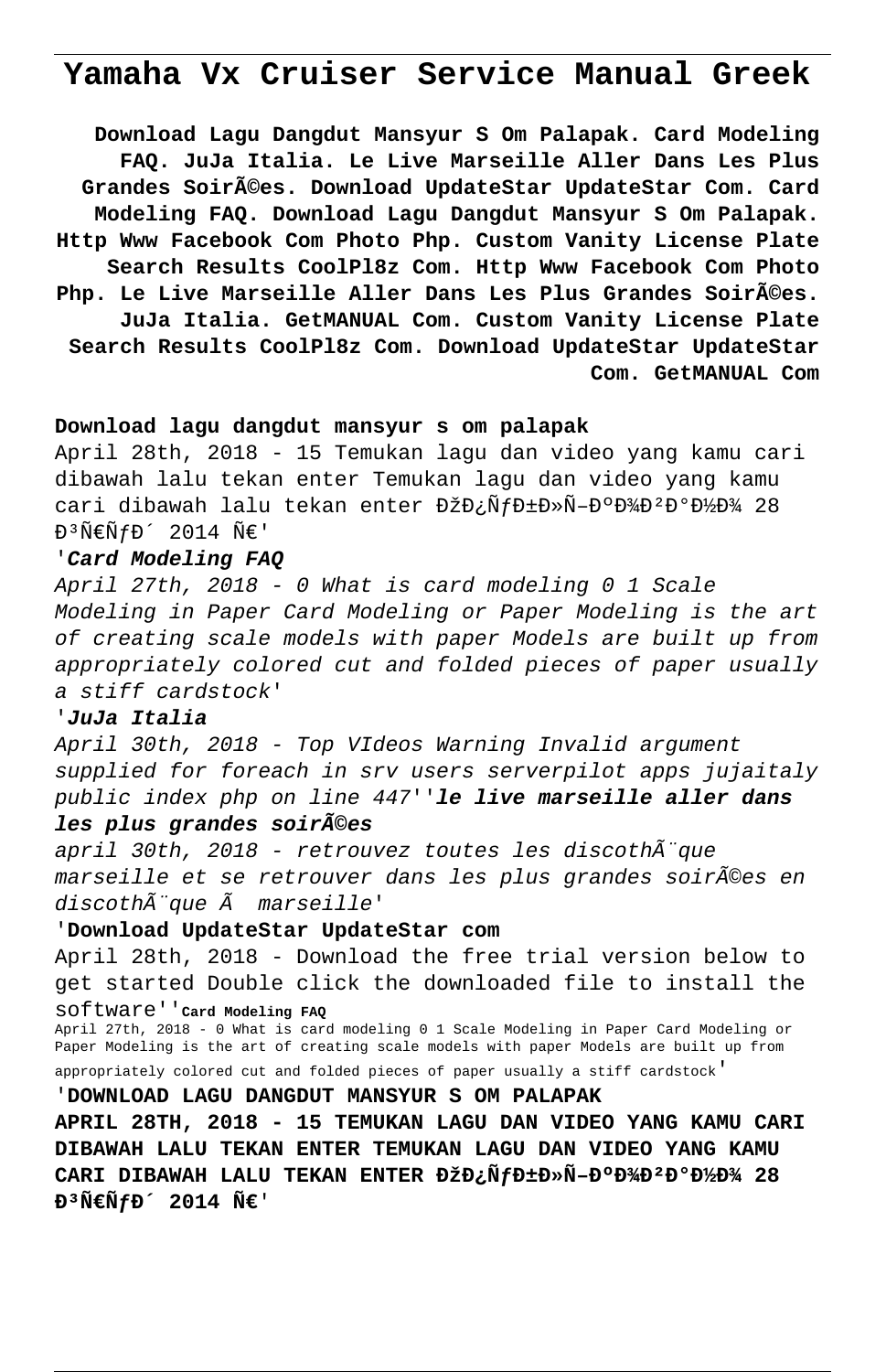# **Yamaha Vx Cruiser Service Manual Greek**

**Download Lagu Dangdut Mansyur S Om Palapak. Card Modeling FAQ. JuJa Italia. Le Live Marseille Aller Dans Les Plus Grandes Soirées. Download UpdateStar UpdateStar Com. Card Modeling FAQ. Download Lagu Dangdut Mansyur S Om Palapak. Http Www Facebook Com Photo Php. Custom Vanity License Plate Search Results CoolPl8z Com. Http Www Facebook Com Photo** Php. Le Live Marseille Aller Dans Les Plus Grandes Soir**ées**. **JuJa Italia. GetMANUAL Com. Custom Vanity License Plate Search Results CoolPl8z Com. Download UpdateStar UpdateStar Com. GetMANUAL Com**

## **Download lagu dangdut mansyur s om palapak**

April 28th, 2018 - 15 Temukan lagu dan video yang kamu cari dibawah lalu tekan enter Temukan lagu dan video yang kamu cari dibawah lalu tekan enter ĐžĐ;ÑfбĐ»Ñ-ĐºĐ½ĐºĐ½Đ¾ 28  $E^3 \tilde{N} \in \tilde{N} f D^2 2014 \tilde{N} \in V$ 

#### '**Card Modeling FAQ**

April 27th, 2018 - 0 What is card modeling 0 1 Scale Modeling in Paper Card Modeling or Paper Modeling is the art of creating scale models with paper Models are built up from appropriately colored cut and folded pieces of paper usually a stiff cardstock'

### '**JuJa Italia**

April 30th, 2018 - Top VIdeos Warning Invalid argument supplied for foreach in srv users serverpilot apps jujaitaly public index php on line 447''**le live marseille aller dans**

#### **les plus grandes soirées**

april 30th, 2018 - retrouvez toutes les discothÃ"que marseille et se retrouver dans les plus grandes soirées en  $discoth\tilde{A}$ "que  $\tilde{A}$  marseille'

# '**Download UpdateStar UpdateStar com**

April 28th, 2018 - Download the free trial version below to get started Double click the downloaded file to install the software''**Card Modeling FAQ**

April 27th, 2018 - 0 What is card modeling 0 1 Scale Modeling in Paper Card Modeling or Paper Modeling is the art of creating scale models with paper Models are built up from appropriately colored cut and folded pieces of paper usually a stiff cardstock'

'**DOWNLOAD LAGU DANGDUT MANSYUR S OM PALAPAK**

**APRIL 28TH, 2018 - 15 TEMUKAN LAGU DAN VIDEO YANG KAMU CARI DIBAWAH LALU TEKAN ENTER TEMUKAN LAGU DAN VIDEO YANG KAMU** CARI DIBAWAH LALU TEKAN ENTER DŽĐ*i*N fD±D»N-D°D<sup>3</sup>/D<sup>2</sup>D°D<sup>3</sup>/D<sup>2</sup>/28  $P^3$  $N \in N$   $f$   $P^2$  2014  $N \in N$